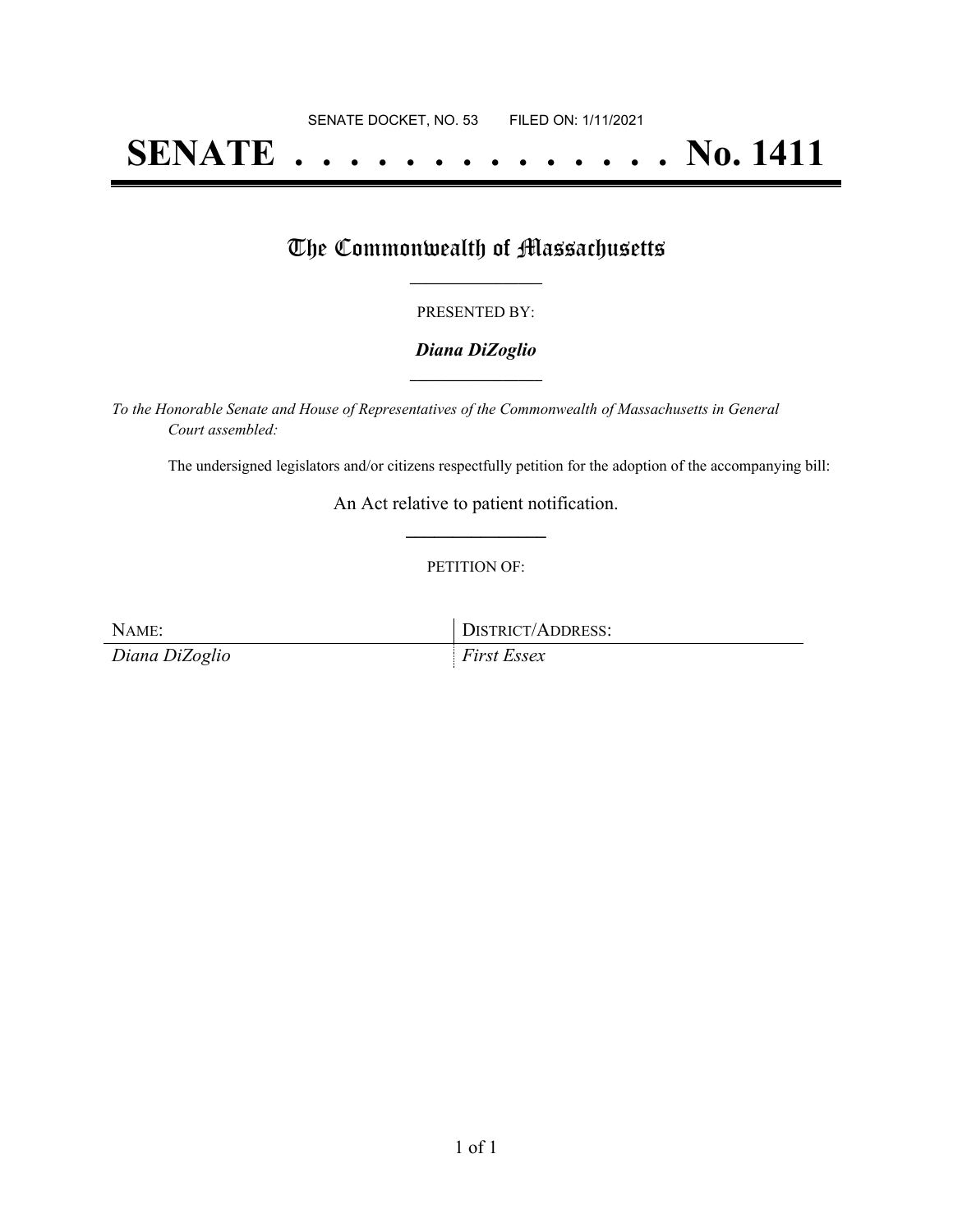# **SENATE . . . . . . . . . . . . . . No. 1411**

### The Commonwealth of Massachusetts

#### PRESENTED BY:

#### *Diana DiZoglio* **\_\_\_\_\_\_\_\_\_\_\_\_\_\_\_\_\_**

*To the Honorable Senate and House of Representatives of the Commonwealth of Massachusetts in General Court assembled:*

The undersigned legislators and/or citizens respectfully petition for the adoption of the accompanying bill:

An Act relative to patient notification. **\_\_\_\_\_\_\_\_\_\_\_\_\_\_\_**

#### PETITION OF:

*Diana DiZoglio First Essex*

NAME: DISTRICT/ADDRESS: